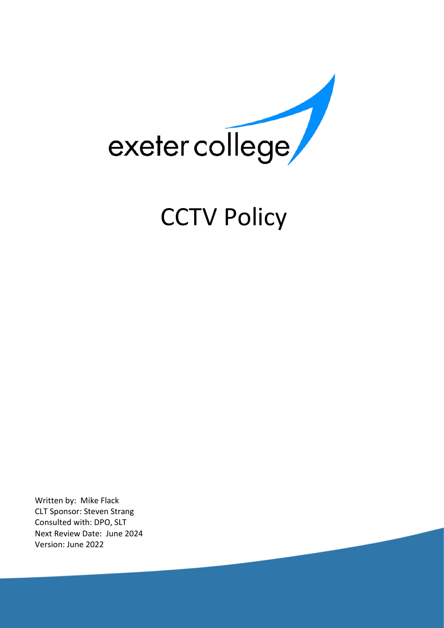

# **CCTV Policy**

Written by: Mike Flack CLT Sponsor: Steven Strang Consulted with: DPO, SLT Next Review Date: June 2024 Version: June 2022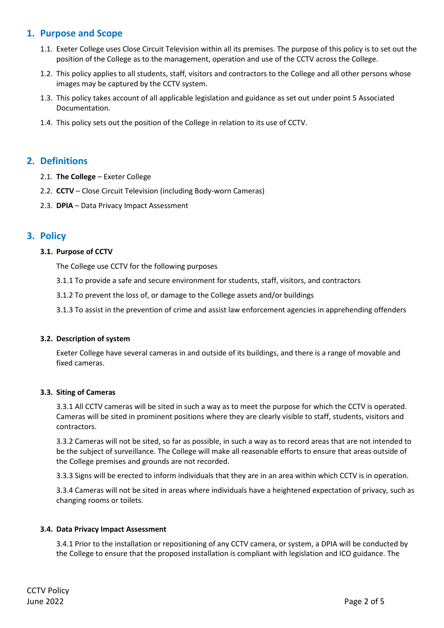# **1. Purpose and Scope**

- 1.1. Exeter College uses Close Circuit Television within all its premises. The purpose of this policy is to set out the position of the College as to the management, operation and use of the CCTV across the College.
- 1.2. This policy applies to all students, staff, visitors and contractors to the College and all other persons whose images may be captured by the CCTV system.
- 1.3. This policy takes account of all applicable legislation and guidance as set out under point 5 Associated Documentation.
- 1.4. This policy sets out the position of the College in relation to its use of CCTV.

# **2. Definitions**

- 2.1. **The College** Exeter College
- 2.2. **CCTV**  Close Circuit Television (including Body-worn Cameras)
- 2.3. **DPIA**  Data Privacy Impact Assessment

# **3. Policy**

## **3.1. Purpose of CCTV**

The College use CCTV for the following purposes

- 3.1.1 To provide a safe and secure environment for students, staff, visitors, and contractors
- 3.1.2 To prevent the loss of, or damage to the College assets and/or buildings
- 3.1.3 To assist in the prevention of crime and assist law enforcement agencies in apprehending offenders

#### **3.2. Description of system**

Exeter College have several cameras in and outside of its buildings, and there is a range of movable and fixed cameras.

#### **3.3. Siting of Cameras**

3.3.1 All CCTV cameras will be sited in such a way as to meet the purpose for which the CCTV is operated. Cameras will be sited in prominent positions where they are clearly visible to staff, students, visitors and contractors.

3.3.2 Cameras will not be sited, so far as possible, in such a way as to record areas that are not intended to be the subject of surveillance. The College will make all reasonable efforts to ensure that areas outside of the College premises and grounds are not recorded.

3.3.3 Signs will be erected to inform individuals that they are in an area within which CCTV is in operation.

3.3.4 Cameras will not be sited in areas where individuals have a heightened expectation of privacy, such as changing rooms or toilets.

#### **3.4. Data Privacy Impact Assessment**

3.4.1 Prior to the installation or repositioning of any CCTV camera, or system, a DPIA will be conducted by the College to ensure that the proposed installation is compliant with legislation and ICO guidance. The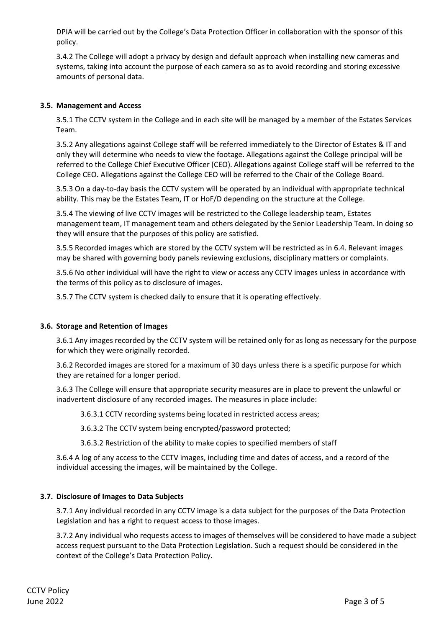DPIA will be carried out by the College's Data Protection Officer in collaboration with the sponsor of this policy.

3.4.2 The College will adopt a privacy by design and default approach when installing new cameras and systems, taking into account the purpose of each camera so as to avoid recording and storing excessive amounts of personal data.

## **3.5. Management and Access**

3.5.1 The CCTV system in the College and in each site will be managed by a member of the Estates Services Team.

3.5.2 Any allegations against College staff will be referred immediately to the Director of Estates & IT and only they will determine who needs to view the footage. Allegations against the College principal will be referred to the College Chief Executive Officer (CEO). Allegations against College staff will be referred to the College CEO. Allegations against the College CEO will be referred to the Chair of the College Board.

3.5.3 On a day-to-day basis the CCTV system will be operated by an individual with appropriate technical ability. This may be the Estates Team, IT or HoF/D depending on the structure at the College.

3.5.4 The viewing of live CCTV images will be restricted to the College leadership team, Estates management team, IT management team and others delegated by the Senior Leadership Team. In doing so they will ensure that the purposes of this policy are satisfied.

3.5.5 Recorded images which are stored by the CCTV system will be restricted as in 6.4. Relevant images may be shared with governing body panels reviewing exclusions, disciplinary matters or complaints.

3.5.6 No other individual will have the right to view or access any CCTV images unless in accordance with the terms of this policy as to disclosure of images.

3.5.7 The CCTV system is checked daily to ensure that it is operating effectively.

#### **3.6. Storage and Retention of Images**

3.6.1 Any images recorded by the CCTV system will be retained only for as long as necessary for the purpose for which they were originally recorded.

3.6.2 Recorded images are stored for a maximum of 30 days unless there is a specific purpose for which they are retained for a longer period.

3.6.3 The College will ensure that appropriate security measures are in place to prevent the unlawful or inadvertent disclosure of any recorded images. The measures in place include:

3.6.3.1 CCTV recording systems being located in restricted access areas;

3.6.3.2 The CCTV system being encrypted/password protected;

3.6.3.2 Restriction of the ability to make copies to specified members of staff

3.6.4 A log of any access to the CCTV images, including time and dates of access, and a record of the individual accessing the images, will be maintained by the College.

#### **3.7. Disclosure of Images to Data Subjects**

3.7.1 Any individual recorded in any CCTV image is a data subject for the purposes of the Data Protection Legislation and has a right to request access to those images.

3.7.2 Any individual who requests access to images of themselves will be considered to have made a subject access request pursuant to the Data Protection Legislation. Such a request should be considered in the context of the College's Data Protection Policy.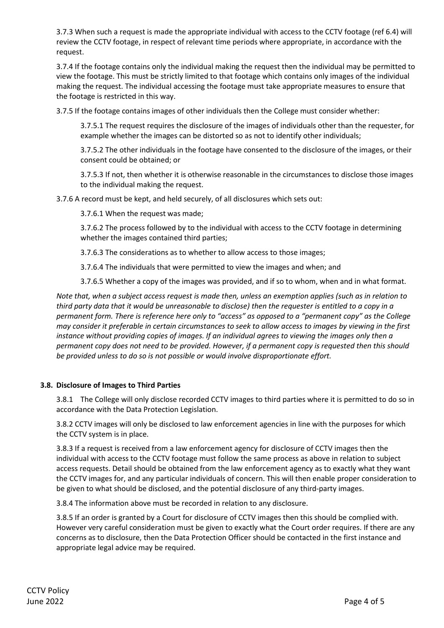3.7.3 When such a request is made the appropriate individual with access to the CCTV footage (ref 6.4) will review the CCTV footage, in respect of relevant time periods where appropriate, in accordance with the request.

3.7.4 If the footage contains only the individual making the request then the individual may be permitted to view the footage. This must be strictly limited to that footage which contains only images of the individual making the request. The individual accessing the footage must take appropriate measures to ensure that the footage is restricted in this way.

3.7.5 If the footage contains images of other individuals then the College must consider whether:

3.7.5.1 The request requires the disclosure of the images of individuals other than the requester, for example whether the images can be distorted so as not to identify other individuals;

3.7.5.2 The other individuals in the footage have consented to the disclosure of the images, or their consent could be obtained; or

3.7.5.3 If not, then whether it is otherwise reasonable in the circumstances to disclose those images to the individual making the request.

3.7.6 A record must be kept, and held securely, of all disclosures which sets out:

3.7.6.1 When the request was made;

3.7.6.2 The process followed by to the individual with access to the CCTV footage in determining whether the images contained third parties;

3.7.6.3 The considerations as to whether to allow access to those images;

3.7.6.4 The individuals that were permitted to view the images and when; and

3.7.6.5 Whether a copy of the images was provided, and if so to whom, when and in what format.

*Note that, when a subject access request is made then, unless an exemption applies (such as in relation to third party data that it would be unreasonable to disclose) then the requester is entitled to a copy in a permanent form. There is reference here only to "access" as opposed to a "permanent copy" as the College may consider it preferable in certain circumstances to seek to allow access to images by viewing in the first instance without providing copies of images. If an individual agrees to viewing the images only then a permanent copy does not need to be provided. However, if a permanent copy is requested then this should be provided unless to do so is not possible or would involve disproportionate effort.*

## **3.8. Disclosure of Images to Third Parties**

3.8.1 The College will only disclose recorded CCTV images to third parties where it is permitted to do so in accordance with the Data Protection Legislation.

3.8.2 CCTV images will only be disclosed to law enforcement agencies in line with the purposes for which the CCTV system is in place.

3.8.3 If a request is received from a law enforcement agency for disclosure of CCTV images then the individual with access to the CCTV footage must follow the same process as above in relation to subject access requests. Detail should be obtained from the law enforcement agency as to exactly what they want the CCTV images for, and any particular individuals of concern. This will then enable proper consideration to be given to what should be disclosed, and the potential disclosure of any third-party images.

3.8.4 The information above must be recorded in relation to any disclosure.

3.8.5 If an order is granted by a Court for disclosure of CCTV images then this should be complied with. However very careful consideration must be given to exactly what the Court order requires. If there are any concerns as to disclosure, then the Data Protection Officer should be contacted in the first instance and appropriate legal advice may be required.